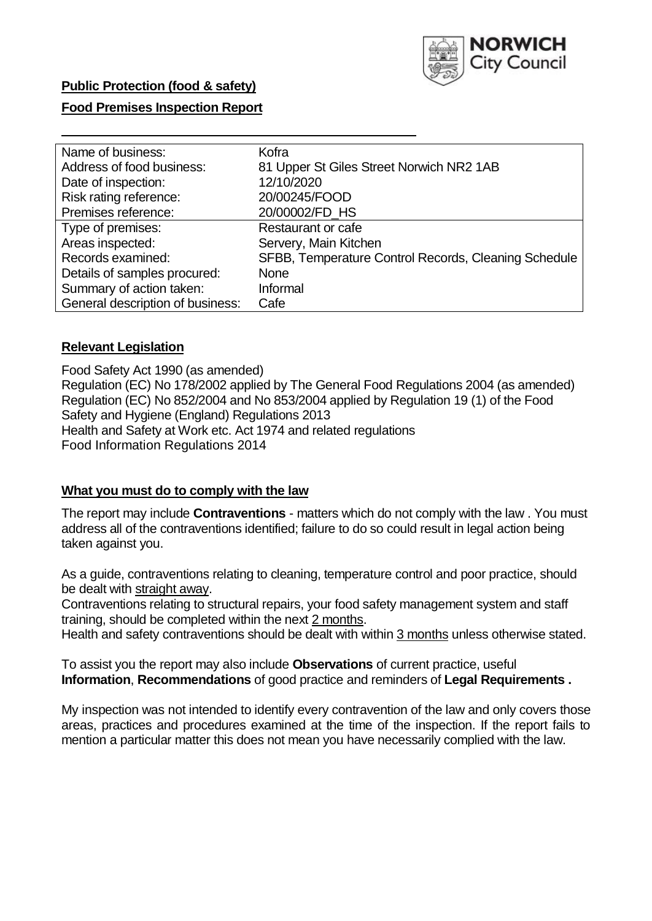

# **Public Protection (food & safety)**

# **Food Premises Inspection Report**

| Name of business:                | Kofra                                                |
|----------------------------------|------------------------------------------------------|
| Address of food business:        | 81 Upper St Giles Street Norwich NR2 1AB             |
| Date of inspection:              | 12/10/2020                                           |
| Risk rating reference:           | 20/00245/FOOD                                        |
| Premises reference:              | 20/00002/FD HS                                       |
| Type of premises:                | Restaurant or cafe                                   |
| Areas inspected:                 | Servery, Main Kitchen                                |
| Records examined:                | SFBB, Temperature Control Records, Cleaning Schedule |
| Details of samples procured:     | <b>None</b>                                          |
| Summary of action taken:         | Informal                                             |
| General description of business: | Cafe                                                 |

#### **Relevant Legislation**

 Food Safety Act 1990 (as amended) Regulation (EC) No 178/2002 applied by The General Food Regulations 2004 (as amended) Regulation (EC) No 852/2004 and No 853/2004 applied by Regulation 19 (1) of the Food Safety and Hygiene (England) Regulations 2013 Health and Safety at Work etc. Act 1974 and related regulations Food Information Regulations 2014

#### **What you must do to comply with the law**

 The report may include **Contraventions** - matters which do not comply with the law . You must address all of the contraventions identified; failure to do so could result in legal action being taken against you.

 As a guide, contraventions relating to cleaning, temperature control and poor practice, should be dealt with straight away.

 Contraventions relating to structural repairs, your food safety management system and staff training, should be completed within the next 2 months.

Health and safety contraventions should be dealt with within 3 months unless otherwise stated.

 To assist you the report may also include **Observations** of current practice, useful **Information**, **Recommendations** of good practice and reminders of **Legal Requirements .** 

 My inspection was not intended to identify every contravention of the law and only covers those areas, practices and procedures examined at the time of the inspection. If the report fails to mention a particular matter this does not mean you have necessarily complied with the law.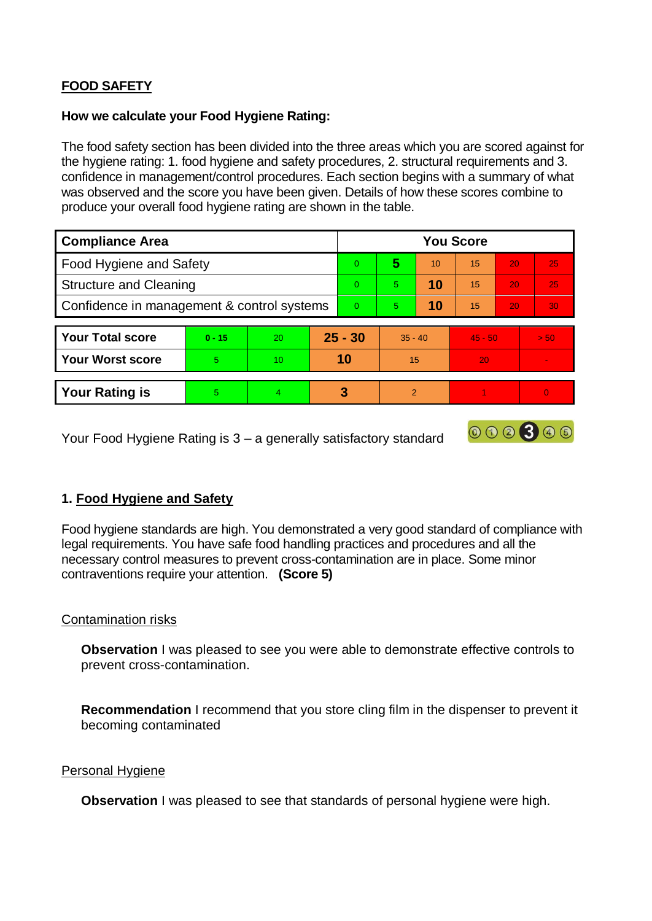# **FOOD SAFETY**

# **How we calculate your Food Hygiene Rating:**

 The food safety section has been divided into the three areas which you are scored against for the hygiene rating: 1. food hygiene and safety procedures, 2. structural requirements and 3. confidence in management/control procedures. Each section begins with a summary of what was observed and the score you have been given. Details of how these scores combine to produce your overall food hygiene rating are shown in the table.

| <b>Compliance Area</b>                     |          |    |           | <b>You Score</b> |                |    |           |    |          |  |  |
|--------------------------------------------|----------|----|-----------|------------------|----------------|----|-----------|----|----------|--|--|
| Food Hygiene and Safety                    |          |    |           | $\Omega$         | 5              | 10 | 15        | 20 | 25       |  |  |
| <b>Structure and Cleaning</b>              |          |    |           | $\Omega$         | 5.             | 10 | 15        | 20 | 25       |  |  |
| Confidence in management & control systems |          |    | $\Omega$  | 5                | 10             | 15 | 20        | 30 |          |  |  |
|                                            |          |    |           |                  |                |    |           |    |          |  |  |
| <b>Your Total score</b>                    | $0 - 15$ | 20 | $25 - 30$ |                  | $35 - 40$      |    | $45 - 50$ |    | > 50     |  |  |
| <b>Your Worst score</b>                    | 5.       | 10 | 10        |                  | 15             |    | 20        |    |          |  |  |
|                                            |          |    |           |                  |                |    |           |    |          |  |  |
| <b>Your Rating is</b>                      | 5        | 4  |           | 3                | $\overline{2}$ |    |           |    | $\Omega$ |  |  |

Your Food Hygiene Rating is 3 – a generally satisfactory standard

# **1. Food Hygiene and Safety**

 Food hygiene standards are high. You demonstrated a very good standard of compliance with legal requirements. You have safe food handling practices and procedures and all the necessary control measures to prevent cross-contamination are in place. Some minor contraventions require your attention. **(Score 5)** 

000300

## Contamination risks

**Observation** I was pleased to see you were able to demonstrate effective controls to prevent cross-contamination.

**Recommendation** I recommend that you store cling film in the dispenser to prevent it becoming contaminated

#### Personal Hygiene

**Observation** I was pleased to see that standards of personal hygiene were high.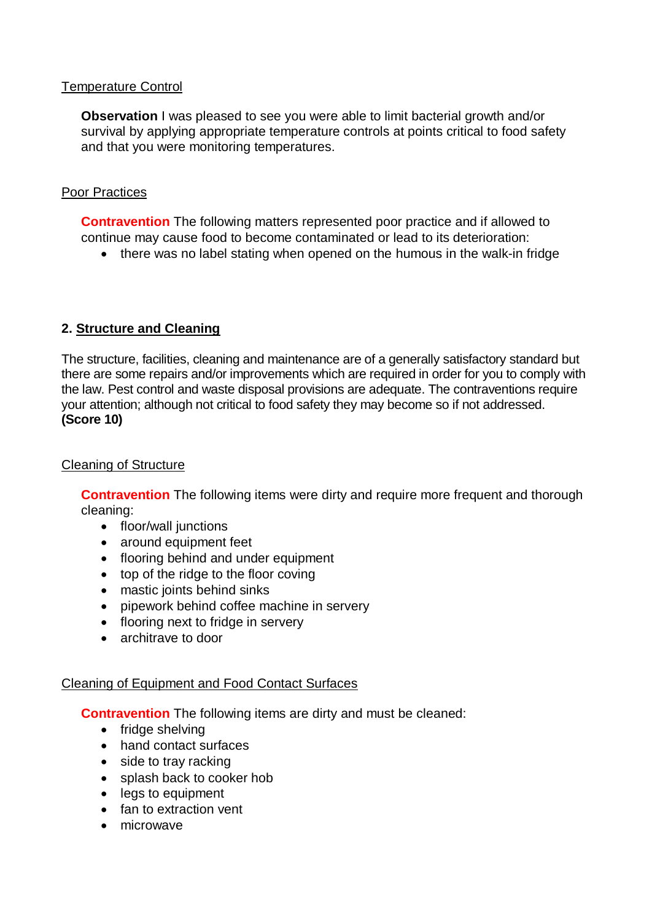# Temperature Control

 **Observation** I was pleased to see you were able to limit bacterial growth and/or survival by applying appropriate temperature controls at points critical to food safety and that you were monitoring temperatures.

# Poor Practices

 continue may cause food to become contaminated or lead to its deterioration: **Contravention** The following matters represented poor practice and if allowed to

• there was no label stating when opened on the humous in the walk-in fridge

# **2. Structure and Cleaning**

 The structure, facilities, cleaning and maintenance are of a generally satisfactory standard but there are some repairs and/or improvements which are required in order for you to comply with the law. Pest control and waste disposal provisions are adequate. The contraventions require your attention; although not critical to food safety they may become so if not addressed. **(Score 10)** 

# Cleaning of Structure

**Contravention** The following items were dirty and require more frequent and thorough cleaning:

- floor/wall junctions
- around equipment feet
- flooring behind and under equipment
- top of the ridge to the floor coving
- mastic joints behind sinks
- pipework behind coffee machine in servery
- flooring next to fridge in servery
- architrave to door

## Cleaning of Equipment and Food Contact Surfaces

**Contravention** The following items are dirty and must be cleaned:

- fridge shelving
- hand contact surfaces
- side to tray racking
- splash back to cooker hob
- legs to equipment
- fan to extraction vent
- microwave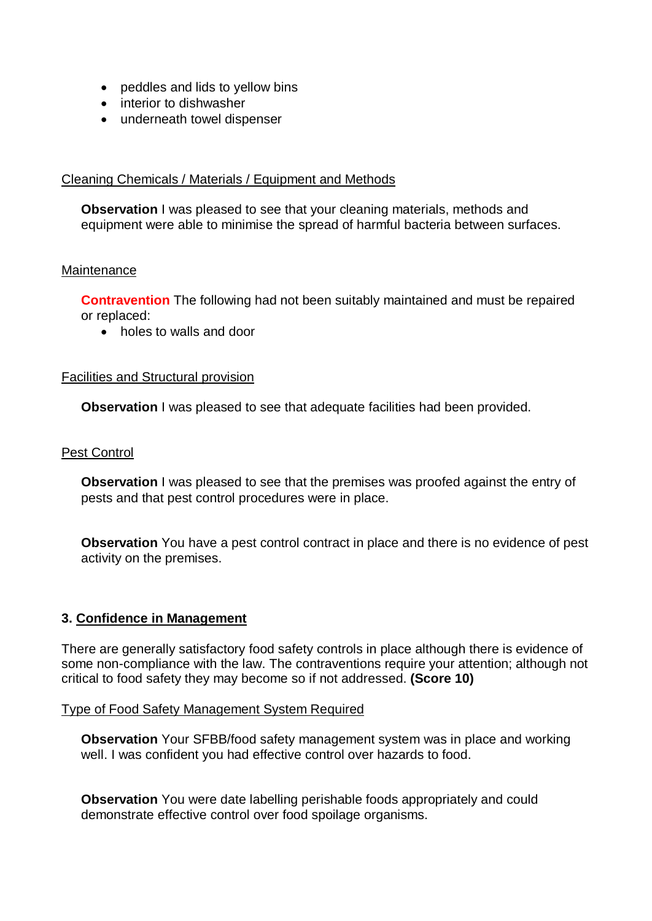- peddles and lids to yellow bins
- interior to dishwasher
- underneath towel dispenser

## Cleaning Chemicals / Materials / Equipment and Methods

**Observation** I was pleased to see that your cleaning materials, methods and equipment were able to minimise the spread of harmful bacteria between surfaces.

#### **Maintenance**

**Contravention** The following had not been suitably maintained and must be repaired or replaced:

holes to walls and door

#### Facilities and Structural provision

**Observation** I was pleased to see that adequate facilities had been provided.

#### Pest Control

**Observation** I was pleased to see that the premises was proofed against the entry of pests and that pest control procedures were in place.

**Observation** You have a pest control contract in place and there is no evidence of pest activity on the premises.

## **3. Confidence in Management**

 There are generally satisfactory food safety controls in place although there is evidence of some non-compliance with the law. The contraventions require your attention; although not critical to food safety they may become so if not addressed. **(Score 10)** 

#### Type of Food Safety Management System Required

**Observation** Your SFBB/food safety management system was in place and working well. I was confident you had effective control over hazards to food.

**Observation** You were date labelling perishable foods appropriately and could demonstrate effective control over food spoilage organisms.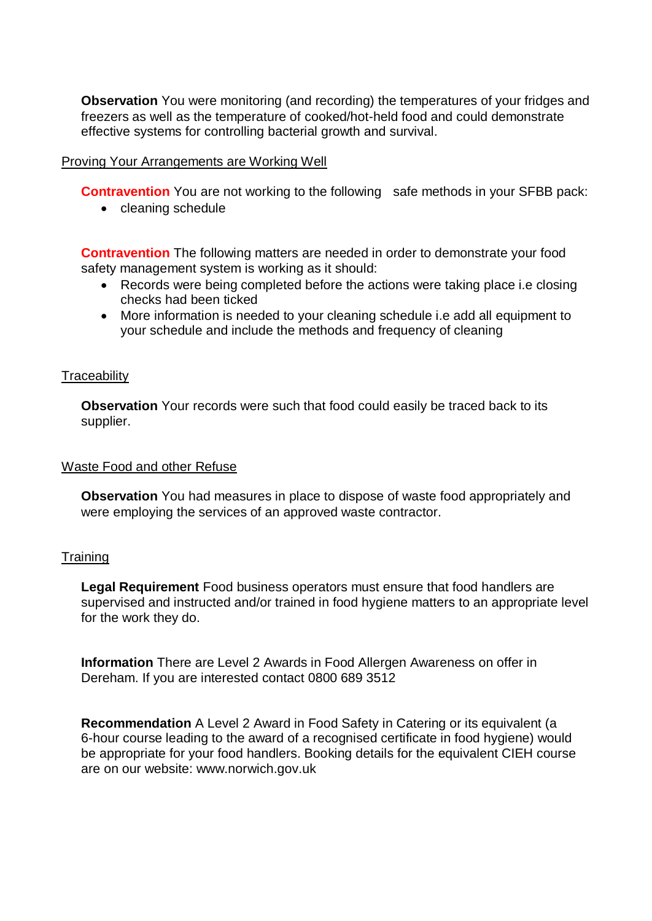**Observation** You were monitoring (and recording) the temperatures of your fridges and freezers as well as the temperature of cooked/hot-held food and could demonstrate effective systems for controlling bacterial growth and survival.

### Proving Your Arrangements are Working Well

**Contravention** You are not working to the following safe methods in your SFBB pack:

• cleaning schedule

**Contravention** The following matters are needed in order to demonstrate your food safety management system is working as it should:

- Records were being completed before the actions were taking place i.e closing checks had been ticked
- More information is needed to your cleaning schedule i.e add all equipment to your schedule and include the methods and frequency of cleaning

#### **Traceability**

**Observation** Your records were such that food could easily be traced back to its supplier.

#### Waste Food and other Refuse

**Observation** You had measures in place to dispose of waste food appropriately and were employing the services of an approved waste contractor.

#### **Training**

 supervised and instructed and/or trained in food hygiene matters to an appropriate level **Legal Requirement** Food business operators must ensure that food handlers are for the work they do.

 **Information** There are Level 2 Awards in Food Allergen Awareness on offer in Dereham. If you are interested contact 0800 689 3512

 **Recommendation** A Level 2 Award in Food Safety in Catering or its equivalent (a 6-hour course leading to the award of a recognised certificate in food hygiene) would be appropriate for your food handlers. Booking details for the equivalent CIEH course are on our website: <www.norwich.gov.uk>